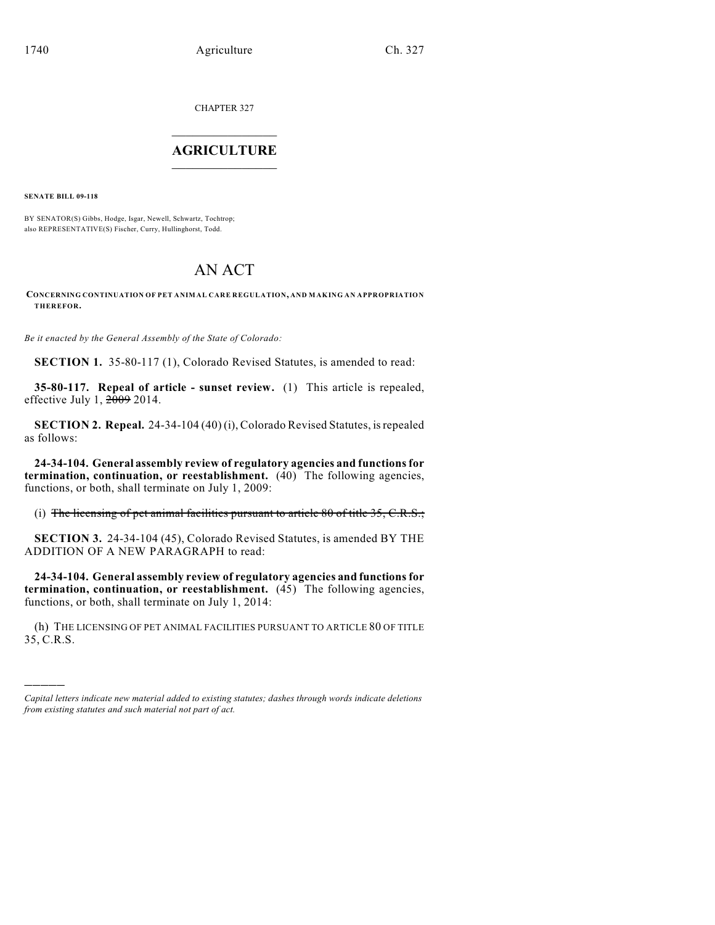CHAPTER 327

## $\overline{\phantom{a}}$  . The set of the set of the set of the set of the set of the set of the set of the set of the set of the set of the set of the set of the set of the set of the set of the set of the set of the set of the set o **AGRICULTURE**  $\_$   $\_$   $\_$   $\_$   $\_$   $\_$   $\_$   $\_$

**SENATE BILL 09-118**

)))))

BY SENATOR(S) Gibbs, Hodge, Isgar, Newell, Schwartz, Tochtrop; also REPRESENTATIVE(S) Fischer, Curry, Hullinghorst, Todd.

## AN ACT

## **CONCERNING CONTINUATION OF PET ANIMAL CARE REGULATION, AND MAKING AN APPROPRIATION THEREFOR.**

*Be it enacted by the General Assembly of the State of Colorado:*

**SECTION 1.** 35-80-117 (1), Colorado Revised Statutes, is amended to read:

**35-80-117. Repeal of article - sunset review.** (1) This article is repealed, effective July 1, 2009 2014.

**SECTION 2. Repeal.** 24-34-104 (40) (i), Colorado Revised Statutes, is repealed as follows:

**24-34-104. General assembly review of regulatory agencies and functions for termination, continuation, or reestablishment.** (40) The following agencies, functions, or both, shall terminate on July 1, 2009:

(i) The licensing of pet animal facilities pursuant to article  $80$  of title  $35, C.R.S.;$ 

**SECTION 3.** 24-34-104 (45), Colorado Revised Statutes, is amended BY THE ADDITION OF A NEW PARAGRAPH to read:

**24-34-104. General assembly review of regulatory agencies and functions for termination, continuation, or reestablishment.** (45) The following agencies, functions, or both, shall terminate on July 1, 2014:

(h) THE LICENSING OF PET ANIMAL FACILITIES PURSUANT TO ARTICLE 80 OF TITLE 35, C.R.S.

*Capital letters indicate new material added to existing statutes; dashes through words indicate deletions from existing statutes and such material not part of act.*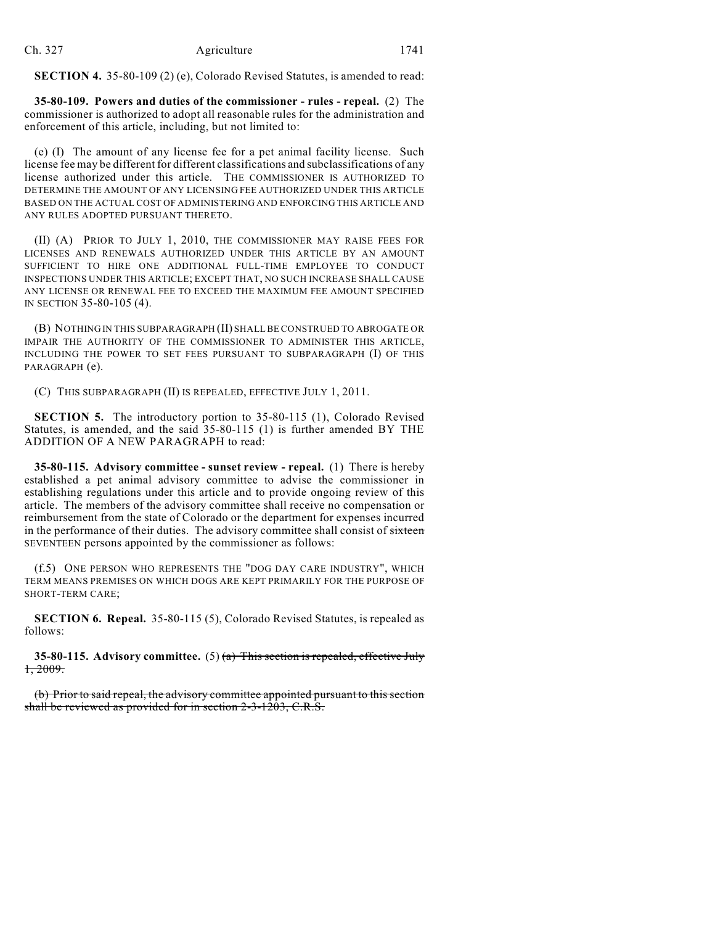**SECTION 4.** 35-80-109 (2) (e), Colorado Revised Statutes, is amended to read:

**35-80-109. Powers and duties of the commissioner - rules - repeal.** (2) The commissioner is authorized to adopt all reasonable rules for the administration and enforcement of this article, including, but not limited to:

(e) (I) The amount of any license fee for a pet animal facility license. Such license fee may be different for different classifications and subclassifications of any license authorized under this article. THE COMMISSIONER IS AUTHORIZED TO DETERMINE THE AMOUNT OF ANY LICENSING FEE AUTHORIZED UNDER THIS ARTICLE BASED ON THE ACTUAL COST OF ADMINISTERING AND ENFORCING THIS ARTICLE AND ANY RULES ADOPTED PURSUANT THERETO.

(II) (A) PRIOR TO JULY 1, 2010, THE COMMISSIONER MAY RAISE FEES FOR LICENSES AND RENEWALS AUTHORIZED UNDER THIS ARTICLE BY AN AMOUNT SUFFICIENT TO HIRE ONE ADDITIONAL FULL-TIME EMPLOYEE TO CONDUCT INSPECTIONS UNDER THIS ARTICLE; EXCEPT THAT, NO SUCH INCREASE SHALL CAUSE ANY LICENSE OR RENEWAL FEE TO EXCEED THE MAXIMUM FEE AMOUNT SPECIFIED IN SECTION 35-80-105 (4).

(B) NOTHING IN THIS SUBPARAGRAPH (II) SHALL BE CONSTRUED TO ABROGATE OR IMPAIR THE AUTHORITY OF THE COMMISSIONER TO ADMINISTER THIS ARTICLE, INCLUDING THE POWER TO SET FEES PURSUANT TO SUBPARAGRAPH (I) OF THIS PARAGRAPH (e).

(C) THIS SUBPARAGRAPH (II) IS REPEALED, EFFECTIVE JULY 1, 2011.

**SECTION 5.** The introductory portion to 35-80-115 (1), Colorado Revised Statutes, is amended, and the said 35-80-115 (1) is further amended BY THE ADDITION OF A NEW PARAGRAPH to read:

**35-80-115. Advisory committee - sunset review - repeal.** (1) There is hereby established a pet animal advisory committee to advise the commissioner in establishing regulations under this article and to provide ongoing review of this article. The members of the advisory committee shall receive no compensation or reimbursement from the state of Colorado or the department for expenses incurred in the performance of their duties. The advisory committee shall consist of sixteen SEVENTEEN persons appointed by the commissioner as follows:

(f.5) ONE PERSON WHO REPRESENTS THE "DOG DAY CARE INDUSTRY", WHICH TERM MEANS PREMISES ON WHICH DOGS ARE KEPT PRIMARILY FOR THE PURPOSE OF SHORT-TERM CARE;

**SECTION 6. Repeal.** 35-80-115 (5), Colorado Revised Statutes, is repealed as follows:

**35-80-115. Advisory committee.** (5) (a) This section is repealed, effective July 1, 2009.

(b) Prior to said repeal, the advisory committee appointed pursuant to this section shall be reviewed as provided for in section 2-3-1203, C.R.S.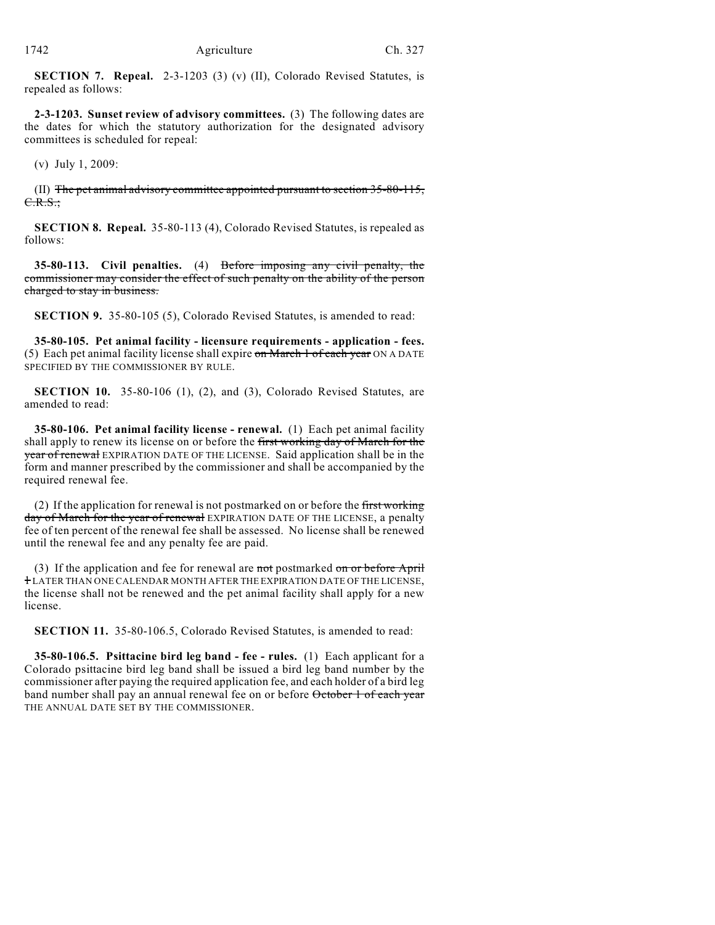**SECTION 7. Repeal.** 2-3-1203 (3) (v) (II), Colorado Revised Statutes, is repealed as follows:

**2-3-1203. Sunset review of advisory committees.** (3) The following dates are the dates for which the statutory authorization for the designated advisory committees is scheduled for repeal:

(v) July 1, 2009:

(II) The pet animal advisory committee appointed pursuant to section 35-80-115,  $C.R.S.:$ 

**SECTION 8. Repeal.** 35-80-113 (4), Colorado Revised Statutes, is repealed as follows:

**35-80-113. Civil penalties.** (4) Before imposing any civil penalty, the commissioner may consider the effect of such penalty on the ability of the person charged to stay in business.

**SECTION 9.** 35-80-105 (5), Colorado Revised Statutes, is amended to read:

**35-80-105. Pet animal facility - licensure requirements - application - fees.** (5) Each pet animal facility license shall expire on March  $\frac{1}{1}$  of each year ON A DATE SPECIFIED BY THE COMMISSIONER BY RULE.

**SECTION 10.** 35-80-106 (1), (2), and (3), Colorado Revised Statutes, are amended to read:

**35-80-106. Pet animal facility license - renewal.** (1) Each pet animal facility shall apply to renew its license on or before the first working day of March for the year of renewal EXPIRATION DATE OF THE LICENSE. Said application shall be in the form and manner prescribed by the commissioner and shall be accompanied by the required renewal fee.

(2) If the application for renewal is not postmarked on or before the first working day of March for the year of renewal EXPIRATION DATE OF THE LICENSE, a penalty fee of ten percent of the renewal fee shall be assessed. No license shall be renewed until the renewal fee and any penalty fee are paid.

(3) If the application and fee for renewal are not postmarked on or before April 1 LATER THAN ONE CALENDAR MONTH AFTER THE EXPIRATION DATE OF THE LICENSE, the license shall not be renewed and the pet animal facility shall apply for a new license.

**SECTION 11.** 35-80-106.5, Colorado Revised Statutes, is amended to read:

**35-80-106.5. Psittacine bird leg band - fee - rules.** (1) Each applicant for a Colorado psittacine bird leg band shall be issued a bird leg band number by the commissioner after paying the required application fee, and each holder of a bird leg band number shall pay an annual renewal fee on or before October 1 of each year THE ANNUAL DATE SET BY THE COMMISSIONER.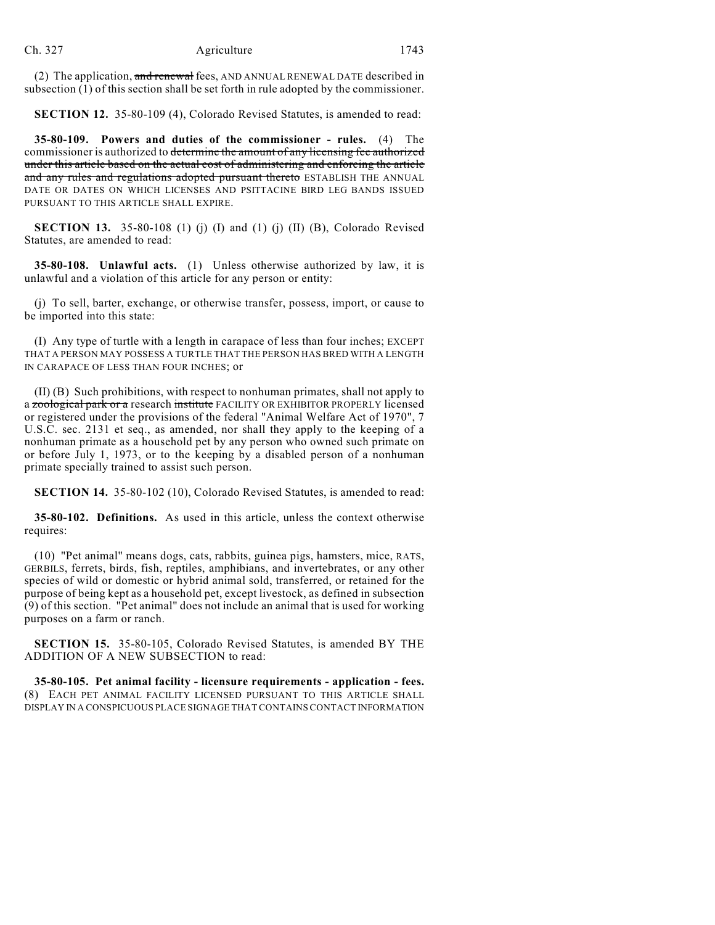(2) The application, and renewal fees, AND ANNUAL RENEWAL DATE described in subsection (1) of this section shall be set forth in rule adopted by the commissioner.

**SECTION 12.** 35-80-109 (4), Colorado Revised Statutes, is amended to read:

**35-80-109. Powers and duties of the commissioner - rules.** (4) The commissioner is authorized to determine the amount of any licensing fee authorized under this article based on the actual cost of administering and enforcing the article and any rules and regulations adopted pursuant thereto ESTABLISH THE ANNUAL DATE OR DATES ON WHICH LICENSES AND PSITTACINE BIRD LEG BANDS ISSUED PURSUANT TO THIS ARTICLE SHALL EXPIRE.

**SECTION 13.** 35-80-108 (1) (j) (I) and (1) (j) (II) (B), Colorado Revised Statutes, are amended to read:

**35-80-108. Unlawful acts.** (1) Unless otherwise authorized by law, it is unlawful and a violation of this article for any person or entity:

(j) To sell, barter, exchange, or otherwise transfer, possess, import, or cause to be imported into this state:

(I) Any type of turtle with a length in carapace of less than four inches; EXCEPT THAT A PERSON MAY POSSESS A TURTLE THAT THE PERSON HAS BRED WITH A LENGTH IN CARAPACE OF LESS THAN FOUR INCHES; or

(II) (B) Such prohibitions, with respect to nonhuman primates, shall not apply to a zoological park or a research institute FACILITY OR EXHIBITOR PROPERLY licensed or registered under the provisions of the federal "Animal Welfare Act of 1970", 7 U.S.C. sec. 2131 et seq., as amended, nor shall they apply to the keeping of a nonhuman primate as a household pet by any person who owned such primate on or before July 1, 1973, or to the keeping by a disabled person of a nonhuman primate specially trained to assist such person.

**SECTION 14.** 35-80-102 (10), Colorado Revised Statutes, is amended to read:

**35-80-102. Definitions.** As used in this article, unless the context otherwise requires:

(10) "Pet animal" means dogs, cats, rabbits, guinea pigs, hamsters, mice, RATS, GERBILS, ferrets, birds, fish, reptiles, amphibians, and invertebrates, or any other species of wild or domestic or hybrid animal sold, transferred, or retained for the purpose of being kept as a household pet, except livestock, as defined in subsection (9) of this section. "Pet animal" does not include an animal that is used for working purposes on a farm or ranch.

**SECTION 15.** 35-80-105, Colorado Revised Statutes, is amended BY THE ADDITION OF A NEW SUBSECTION to read:

**35-80-105. Pet animal facility - licensure requirements - application - fees.** (8) EACH PET ANIMAL FACILITY LICENSED PURSUANT TO THIS ARTICLE SHALL DISPLAY IN A CONSPICUOUS PLACE SIGNAGE THAT CONTAINS CONTACT INFORMATION